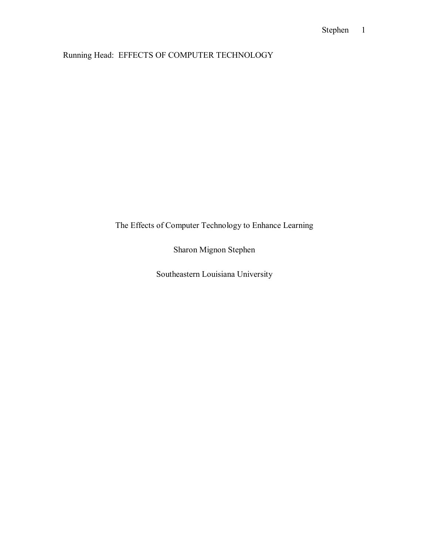# Running Head: EFFECTS OF COMPUTER TECHNOLOGY

# The Effects of Computer Technology to Enhance Learning

Sharon Mignon Stephen

Southeastern Louisiana University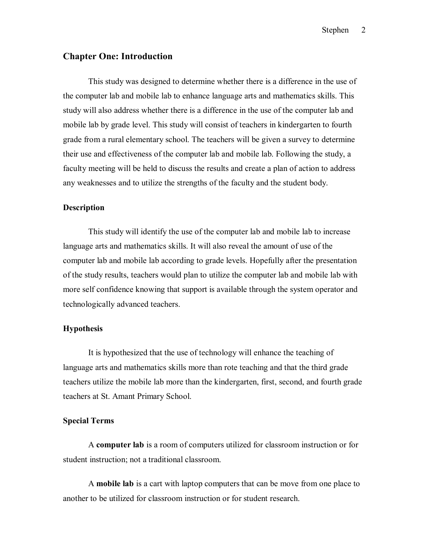## **Chapter One: Introduction**

 This study was designed to determine whether there is a difference in the use of the computer lab and mobile lab to enhance language arts and mathematics skills. This study will also address whether there is a difference in the use of the computer lab and mobile lab by grade level. This study will consist of teachers in kindergarten to fourth grade from a rural elementary school. The teachers will be given a survey to determine their use and effectiveness of the computer lab and mobile lab. Following the study, a faculty meeting will be held to discuss the results and create a plan of action to address any weaknesses and to utilize the strengths of the faculty and the student body.

### **Description**

 This study will identify the use of the computer lab and mobile lab to increase language arts and mathematics skills. It will also reveal the amount of use of the computer lab and mobile lab according to grade levels. Hopefully after the presentation of the study results, teachers would plan to utilize the computer lab and mobile lab with more self confidence knowing that support is available through the system operator and technologically advanced teachers.

#### **Hypothesis**

 It is hypothesized that the use of technology will enhance the teaching of language arts and mathematics skills more than rote teaching and that the third grade teachers utilize the mobile lab more than the kindergarten, first, second, and fourth grade teachers at St. Amant Primary School.

#### **Special Terms**

 A **computer lab** is a room of computers utilized for classroom instruction or for student instruction; not a traditional classroom.

 A **mobile lab** is a cart with laptop computers that can be move from one place to another to be utilized for classroom instruction or for student research.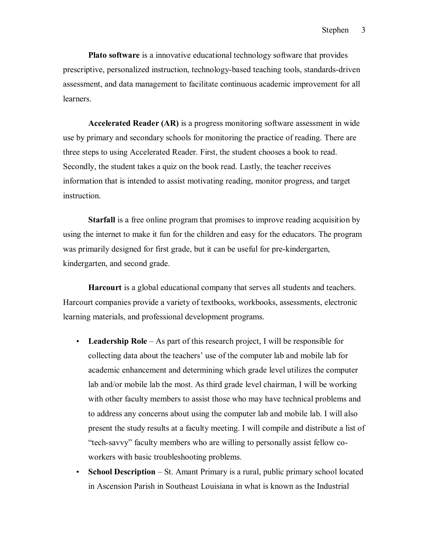**Plato software** is a innovative educational technology software that provides prescriptive, personalized instruction, technology-based teaching tools, standards-driven assessment, and data management to facilitate continuous academic improvement for all **learners** 

**Accelerated Reader (AR)** is a progress monitoring software assessment in wide use by primary and secondary schools for monitoring the practice of reading. There are three steps to using Accelerated Reader. First, the student chooses a book to read. Secondly, the student takes a quiz on the book read. Lastly, the teacher receives information that is intended to assist motivating reading, monitor progress, and target instruction.

**Starfall** is a free online program that promises to improve reading acquisition by using the internet to make it fun for the children and easy for the educators. The program was primarily designed for first grade, but it can be useful for pre-kindergarten, kindergarten, and second grade.

**Harcourt** is a global educational company that serves all students and teachers. Harcourt companies provide a variety of textbooks, workbooks, assessments, electronic learning materials, and professional development programs.

- Leadership Role As part of this research project, I will be responsible for collecting data about the teachers' use of the computer lab and mobile lab for academic enhancement and determining which grade level utilizes the computer lab and/or mobile lab the most. As third grade level chairman, I will be working with other faculty members to assist those who may have technical problems and to address any concerns about using the computer lab and mobile lab. I will also present the study results at a faculty meeting. I will compile and distribute a list of "tech-savvy" faculty members who are willing to personally assist fellow coworkers with basic troubleshooting problems.
- **School Description** St. Amant Primary is a rural, public primary school located in Ascension Parish in Southeast Louisiana in what is known as the Industrial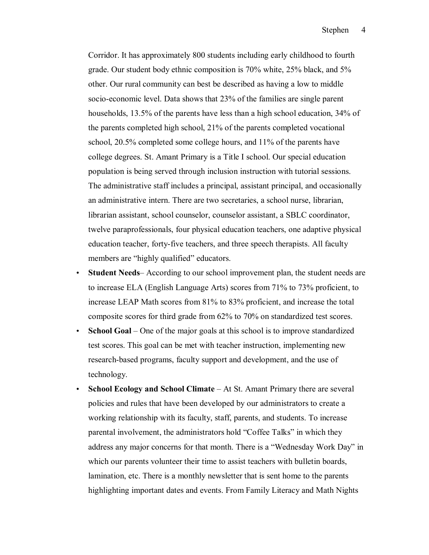Corridor. It has approximately 800 students including early childhood to fourth grade. Our student body ethnic composition is 70% white, 25% black, and 5% other. Our rural community can best be described as having a low to middle socio-economic level. Data shows that 23% of the families are single parent households, 13.5% of the parents have less than a high school education, 34% of the parents completed high school, 21% of the parents completed vocational school, 20.5% completed some college hours, and 11% of the parents have college degrees. St. Amant Primary is a Title I school. Our special education population is being served through inclusion instruction with tutorial sessions. The administrative staff includes a principal, assistant principal, and occasionally an administrative intern. There are two secretaries, a school nurse, librarian, librarian assistant, school counselor, counselor assistant, a SBLC coordinator, twelve paraprofessionals, four physical education teachers, one adaptive physical education teacher, forty-five teachers, and three speech therapists. All faculty members are "highly qualified" educators.

- **Student Needs**—According to our school improvement plan, the student needs are to increase ELA (English Language Arts) scores from 71% to 73% proficient, to increase LEAP Math scores from 81% to 83% proficient, and increase the total composite scores for third grade from 62% to 70% on standardized test scores.
- **School Goal** One of the major goals at this school is to improve standardized test scores. This goal can be met with teacher instruction, implementing new research-based programs, faculty support and development, and the use of technology.
- **School Ecology and School Climate** At St. Amant Primary there are several policies and rules that have been developed by our administrators to create a working relationship with its faculty, staff, parents, and students. To increase parental involvement, the administrators hold "Coffee Talks" in which they address any major concerns for that month. There is a "Wednesday Work Day" in which our parents volunteer their time to assist teachers with bulletin boards, lamination, etc. There is a monthly newsletter that is sent home to the parents highlighting important dates and events. From Family Literacy and Math Nights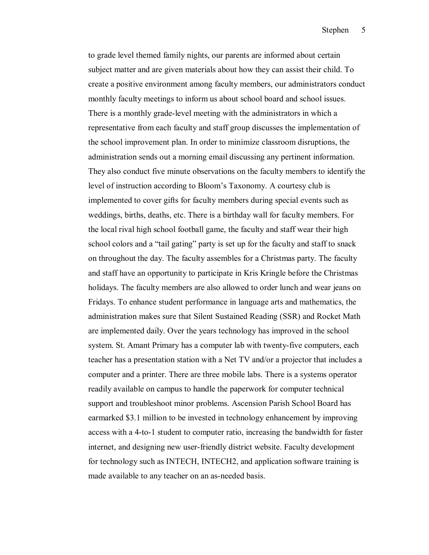to grade level themed family nights, our parents are informed about certain subject matter and are given materials about how they can assist their child. To create a positive environment among faculty members, our administrators conduct monthly faculty meetings to inform us about school board and school issues. There is a monthly grade-level meeting with the administrators in which a representative from each faculty and staff group discusses the implementation of the school improvement plan. In order to minimize classroom disruptions, the administration sends out a morning email discussing any pertinent information. They also conduct five minute observations on the faculty members to identify the level of instruction according to Bloom's Taxonomy. A courtesy club is implemented to cover gifts for faculty members during special events such as weddings, births, deaths, etc. There is a birthday wall for faculty members. For the local rival high school football game, the faculty and staff wear their high school colors and a "tail gating" party is set up for the faculty and staff to snack on throughout the day. The faculty assembles for a Christmas party. The faculty and staff have an opportunity to participate in Kris Kringle before the Christmas holidays. The faculty members are also allowed to order lunch and wear jeans on Fridays. To enhance student performance in language arts and mathematics, the administration makes sure that Silent Sustained Reading (SSR) and Rocket Math are implemented daily. Over the years technology has improved in the school system. St. Amant Primary has a computer lab with twenty-five computers, each teacher has a presentation station with a Net TV and/or a projector that includes a computer and a printer. There are three mobile labs. There is a systems operator readily available on campus to handle the paperwork for computer technical support and troubleshoot minor problems. Ascension Parish School Board has earmarked \$3.1 million to be invested in technology enhancement by improving access with a 4-to-1 student to computer ratio, increasing the bandwidth for faster internet, and designing new user-friendly district website. Faculty development for technology such as INTECH, INTECH2, and application software training is made available to any teacher on an as-needed basis.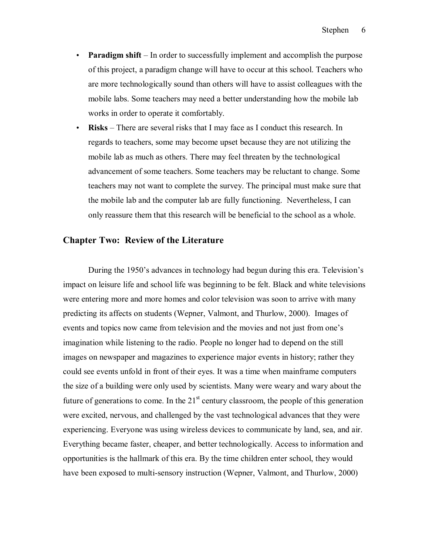- **Paradigm shift** In order to successfully implement and accomplish the purpose of this project, a paradigm change will have to occur at this school. Teachers who are more technologically sound than others will have to assist colleagues with the mobile labs. Some teachers may need a better understanding how the mobile lab works in order to operate it comfortably.
- **Risks** There are several risks that I may face as I conduct this research. In regards to teachers, some may become upset because they are not utilizing the mobile lab as much as others. There may feel threaten by the technological advancement of some teachers. Some teachers may be reluctant to change. Some teachers may not want to complete the survey. The principal must make sure that the mobile lab and the computer lab are fully functioning. Nevertheless, I can only reassure them that this research will be beneficial to the school as a whole.

## **Chapter Two: Review of the Literature**

During the 1950's advances in technology had begun during this era. Television's impact on leisure life and school life was beginning to be felt. Black and white televisions were entering more and more homes and color television was soon to arrive with many predicting its affects on students (Wepner, Valmont, and Thurlow, 2000). Images of events and topics now came from television and the movies and not just from one's imagination while listening to the radio. People no longer had to depend on the still images on newspaper and magazines to experience major events in history; rather they could see events unfold in front of their eyes. It was a time when mainframe computers the size of a building were only used by scientists. Many were weary and wary about the future of generations to come. In the  $21<sup>st</sup>$  century classroom, the people of this generation were excited, nervous, and challenged by the vast technological advances that they were experiencing. Everyone was using wireless devices to communicate by land, sea, and air. Everything became faster, cheaper, and better technologically. Access to information and opportunities is the hallmark of this era. By the time children enter school, they would have been exposed to multi-sensory instruction (Wepner, Valmont, and Thurlow, 2000)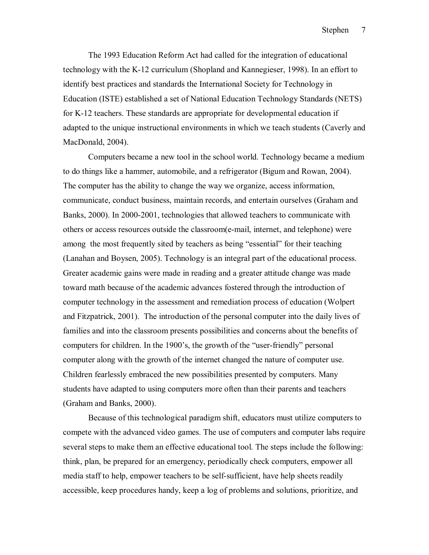The 1993 Education Reform Act had called for the integration of educational technology with the K-12 curriculum (Shopland and Kannegieser, 1998). In an effort to identify best practices and standards the International Society for Technology in Education (ISTE) established a set of National Education Technology Standards (NETS) for K-12 teachers. These standards are appropriate for developmental education if adapted to the unique instructional environments in which we teach students (Caverly and MacDonald, 2004).

 Computers became a new tool in the school world. Technology became a medium to do things like a hammer, automobile, and a refrigerator (Bigum and Rowan, 2004). The computer has the ability to change the way we organize, access information, communicate, conduct business, maintain records, and entertain ourselves (Graham and Banks, 2000). In 2000-2001, technologies that allowed teachers to communicate with others or access resources outside the classroom(e-mail, internet, and telephone) were among the most frequently sited by teachers as being "essential" for their teaching (Lanahan and Boysen, 2005). Technology is an integral part of the educational process. Greater academic gains were made in reading and a greater attitude change was made toward math because of the academic advances fostered through the introduction of computer technology in the assessment and remediation process of education (Wolpert and Fitzpatrick, 2001). The introduction of the personal computer into the daily lives of families and into the classroom presents possibilities and concerns about the benefits of computers for children. In the 1900's, the growth of the "user-friendly" personal computer along with the growth of the internet changed the nature of computer use. Children fearlessly embraced the new possibilities presented by computers. Many students have adapted to using computers more often than their parents and teachers (Graham and Banks, 2000).

 Because of this technological paradigm shift, educators must utilize computers to compete with the advanced video games. The use of computers and computer labs require several steps to make them an effective educational tool. The steps include the following: think, plan, be prepared for an emergency, periodically check computers, empower all media staff to help, empower teachers to be self-sufficient, have help sheets readily accessible, keep procedures handy, keep a log of problems and solutions, prioritize, and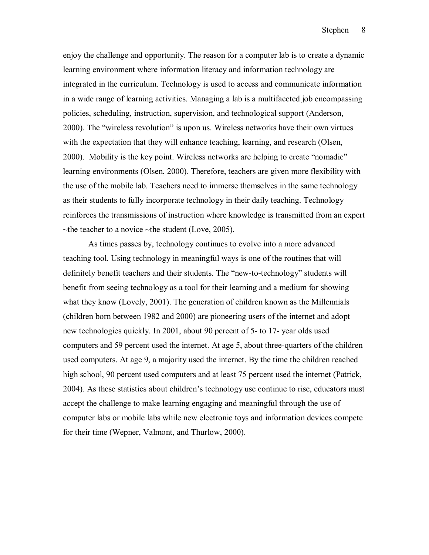enjoy the challenge and opportunity. The reason for a computer lab is to create a dynamic learning environment where information literacy and information technology are integrated in the curriculum. Technology is used to access and communicate information in a wide range of learning activities. Managing a lab is a multifaceted job encompassing policies, scheduling, instruction, supervision, and technological support (Anderson, 2000). The "wireless revolution" is upon us. Wireless networks have their own virtues with the expectation that they will enhance teaching, learning, and research (Olsen, 2000). Mobility is the key point. Wireless networks are helping to create "nomadic" learning environments (Olsen, 2000). Therefore, teachers are given more flexibility with the use of the mobile lab. Teachers need to immerse themselves in the same technology as their students to fully incorporate technology in their daily teaching. Technology reinforces the transmissions of instruction where knowledge is transmitted from an expert  $\sim$ the teacher to a novice  $\sim$ the student (Love, 2005).

 As times passes by, technology continues to evolve into a more advanced teaching tool. Using technology in meaningful ways is one of the routines that will definitely benefit teachers and their students. The "new-to-technology" students will benefit from seeing technology as a tool for their learning and a medium for showing what they know (Lovely, 2001). The generation of children known as the Millennials (children born between 1982 and 2000) are pioneering users of the internet and adopt new technologies quickly. In 2001, about 90 percent of 5- to 17- year olds used computers and 59 percent used the internet. At age 5, about three-quarters of the children used computers. At age 9, a majority used the internet. By the time the children reached high school, 90 percent used computers and at least 75 percent used the internet (Patrick, 2004). As these statistics about children's technology use continue to rise, educators must accept the challenge to make learning engaging and meaningful through the use of computer labs or mobile labs while new electronic toys and information devices compete for their time (Wepner, Valmont, and Thurlow, 2000).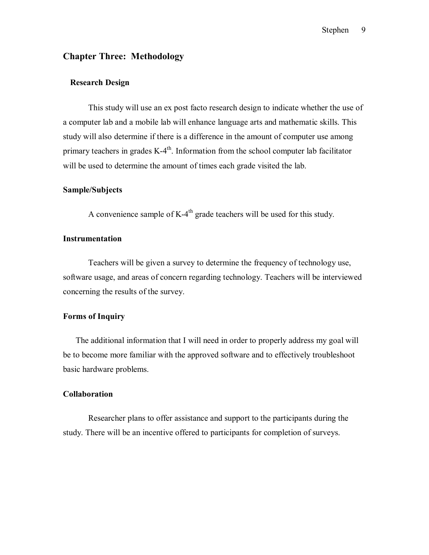## **Chapter Three: Methodology**

### **Research Design**

 This study will use an ex post facto research design to indicate whether the use of a computer lab and a mobile lab will enhance language arts and mathematic skills. This study will also determine if there is a difference in the amount of computer use among primary teachers in grades  $K-4<sup>th</sup>$ . Information from the school computer lab facilitator will be used to determine the amount of times each grade visited the lab.

### **Sample/Subjects**

A convenience sample of  $K-4<sup>th</sup>$  grade teachers will be used for this study.

### **Instrumentation**

Teachers will be given a survey to determine the frequency of technology use, software usage, and areas of concern regarding technology. Teachers will be interviewed concerning the results of the survey.

### **Forms of Inquiry**

The additional information that I will need in order to properly address my goal will be to become more familiar with the approved software and to effectively troubleshoot basic hardware problems.

#### **Collaboration**

 Researcher plans to offer assistance and support to the participants during the study. There will be an incentive offered to participants for completion of surveys.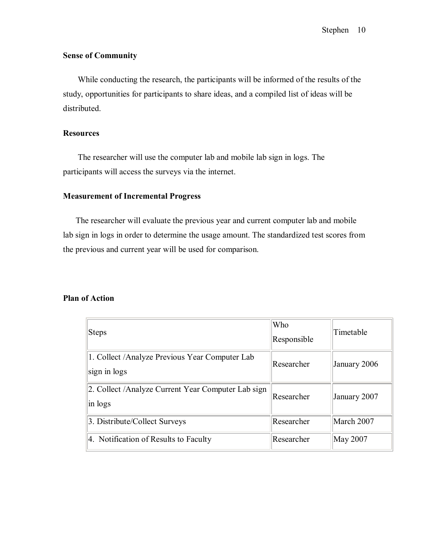# **Sense of Community**

 While conducting the research, the participants will be informed of the results of the study, opportunities for participants to share ideas, and a compiled list of ideas will be distributed.

### **Resources**

 The researcher will use the computer lab and mobile lab sign in logs. The participants will access the surveys via the internet.

### **Measurement of Incremental Progress**

The researcher will evaluate the previous year and current computer lab and mobile lab sign in logs in order to determine the usage amount. The standardized test scores from the previous and current year will be used for comparison.

### **Plan of Action**

| Steps                                                          | Who<br>Responsible | Timetable    |
|----------------------------------------------------------------|--------------------|--------------|
| 1. Collect /Analyze Previous Year Computer Lab<br>sign in logs | Researcher         | January 2006 |
| 2. Collect /Analyze Current Year Computer Lab sign<br>in logs  | Researcher         | January 2007 |
| 3. Distribute/Collect Surveys                                  | Researcher         | March 2007   |
| 4. Notification of Results to Faculty                          | Researcher         | May 2007     |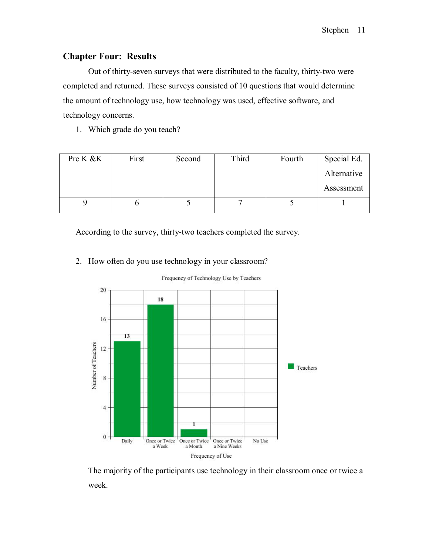# **Chapter Four: Results**

 Out of thirty-seven surveys that were distributed to the faculty, thirty-two were completed and returned. These surveys consisted of 10 questions that would determine the amount of technology use, how technology was used, effective software, and technology concerns.

1. Which grade do you teach?

| Pre K & K | First | Second | Third | Fourth | Special Ed. |
|-----------|-------|--------|-------|--------|-------------|
|           |       |        |       |        | Alternative |
|           |       |        |       |        | Assessment  |
|           |       |        |       |        |             |

According to the survey, thirty-two teachers completed the survey.

2. How often do you use technology in your classroom?



Frequency of Technology Use by Teachers

The majority of the participants use technology in their classroom once or twice a week.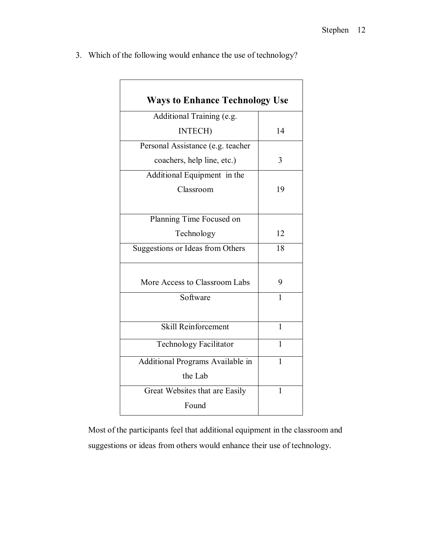| <b>Ways to Enhance Technology Use</b> |              |
|---------------------------------------|--------------|
| Additional Training (e.g.             |              |
| <b>INTECH)</b>                        | 14           |
| Personal Assistance (e.g. teacher     |              |
| coachers, help line, etc.)            | 3            |
| Additional Equipment in the           |              |
| Classroom                             | 19           |
| Planning Time Focused on              |              |
| Technology                            | 12           |
| Suggestions or Ideas from Others      | 18           |
| More Access to Classroom Labs         | 9            |
| Software                              | 1            |
| <b>Skill Reinforcement</b>            | $\mathbf{1}$ |
| Technology Facilitator                | $\mathbf{1}$ |
| Additional Programs Available in      | 1            |
| the Lab                               |              |
| Great Websites that are Easily        | 1            |
| Found                                 |              |

3. Which of the following would enhance the use of technology?

Most of the participants feel that additional equipment in the classroom and suggestions or ideas from others would enhance their use of technology.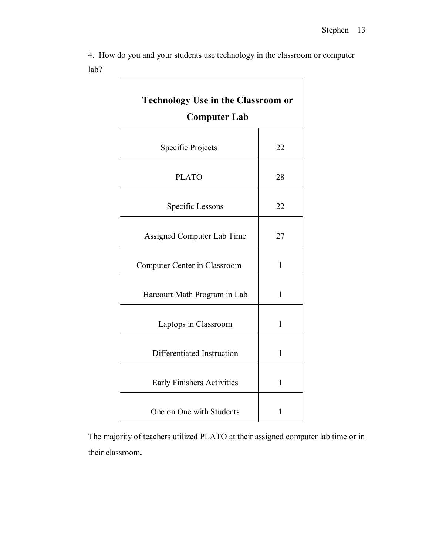| <b>Technology Use in the Classroom or</b><br><b>Computer Lab</b> |              |  |  |  |
|------------------------------------------------------------------|--------------|--|--|--|
| Specific Projects                                                | 22           |  |  |  |
| <b>PLATO</b>                                                     | 28           |  |  |  |
| Specific Lessons                                                 | 22           |  |  |  |
| Assigned Computer Lab Time                                       | 27           |  |  |  |
| Computer Center in Classroom                                     | 1            |  |  |  |
| Harcourt Math Program in Lab                                     | 1            |  |  |  |
| Laptops in Classroom                                             | 1            |  |  |  |
| Differentiated Instruction                                       | 1            |  |  |  |
| <b>Early Finishers Activities</b>                                | $\mathbf{1}$ |  |  |  |
| One on One with Students                                         | 1            |  |  |  |

4. How do you and your students use technology in the classroom or computer lab? 

The majority of teachers utilized PLATO at their assigned computer lab time or in their classroom**.**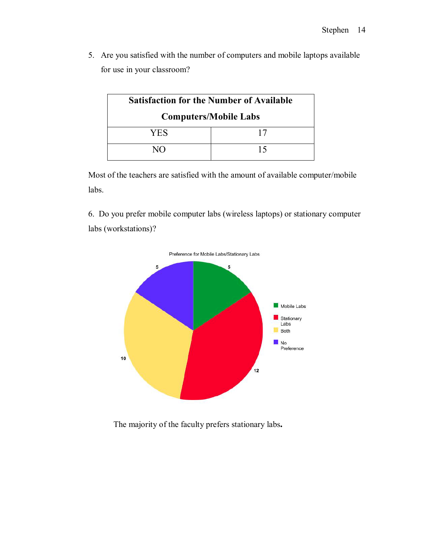5. Are you satisfied with the number of computers and mobile laptops available for use in your classroom?

| <b>Satisfaction for the Number of Available</b> |    |  |  |  |
|-------------------------------------------------|----|--|--|--|
| <b>Computers/Mobile Labs</b>                    |    |  |  |  |
| YES                                             | 17 |  |  |  |
| NΩ                                              | 15 |  |  |  |

Most of the teachers are satisfied with the amount of available computer/mobile labs.

6. Do you prefer mobile computer labs (wireless laptops) or stationary computer labs (workstations)?



The majority of the faculty prefers stationary labs**.**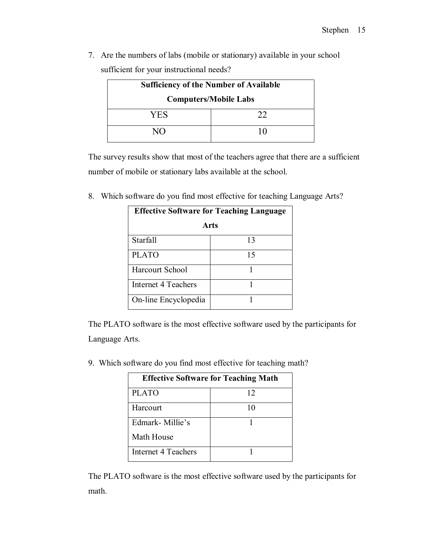7. Are the numbers of labs (mobile or stationary) available in your school sufficient for your instructional needs?

| <b>Sufficiency of the Number of Available</b> |    |  |  |
|-----------------------------------------------|----|--|--|
| <b>Computers/Mobile Labs</b>                  |    |  |  |
| YES                                           | つつ |  |  |
| N()                                           |    |  |  |

The survey results show that most of the teachers agree that there are a sufficient number of mobile or stationary labs available at the school.

8. Which software do you find most effective for teaching Language Arts?

| <b>Effective Software for Teaching Language</b> |    |  |  |  |
|-------------------------------------------------|----|--|--|--|
| Arts                                            |    |  |  |  |
| Starfall                                        | 13 |  |  |  |
| <b>PLATO</b>                                    | 15 |  |  |  |
| Harcourt School                                 |    |  |  |  |
| Internet 4 Teachers                             |    |  |  |  |
| On-line Encyclopedia                            |    |  |  |  |

The PLATO software is the most effective software used by the participants for Language Arts.

9. Which software do you find most effective for teaching math?

| <b>Effective Software for Teaching Math</b> |    |  |  |  |
|---------------------------------------------|----|--|--|--|
| <b>PLATO</b>                                | 12 |  |  |  |
| Harcourt                                    | 10 |  |  |  |
| Edmark-Millie's                             |    |  |  |  |
| Math House                                  |    |  |  |  |
| Internet 4 Teachers                         |    |  |  |  |

The PLATO software is the most effective software used by the participants for math.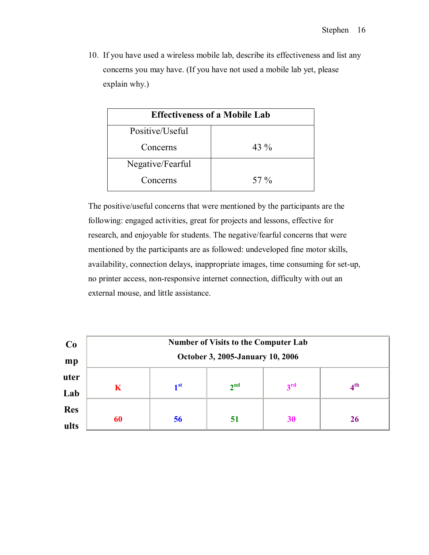10. If you have used a wireless mobile lab, describe its effectiveness and list any concerns you may have. (If you have not used a mobile lab yet, please explain why.)

| <b>Effectiveness of a Mobile Lab</b> |         |  |  |  |  |
|--------------------------------------|---------|--|--|--|--|
| Positive/Useful                      |         |  |  |  |  |
| Concerns                             | 43 $\%$ |  |  |  |  |
| Negative/Fearful                     |         |  |  |  |  |
| Concerns                             | 57 $\%$ |  |  |  |  |

The positive/useful concerns that were mentioned by the participants are the following: engaged activities, great for projects and lessons, effective for research, and enjoyable for students. The negative/fearful concerns that were mentioned by the participants are as followed: undeveloped fine motor skills, availability, connection delays, inappropriate images, time consuming for set-up, no printer access, non-responsive internet connection, difficulty with out an external mouse, and little assistance.

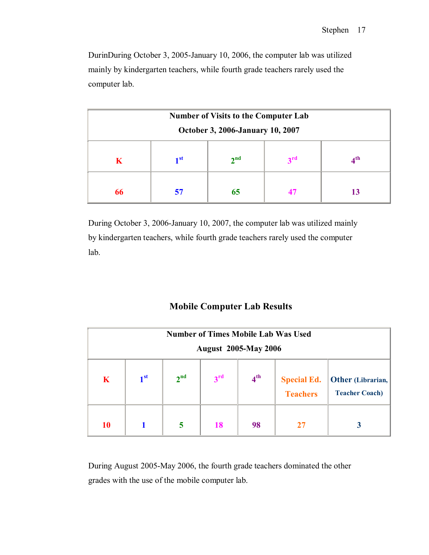DurinDuring October 3, 2005-January 10, 2006, the computer lab was utilized mainly by kindergarten teachers, while fourth grade teachers rarely used the computer lab.

| <b>Number of Visits to the Computer Lab</b><br><b>October 3, 2006-January 10, 2007</b> |  |  |  |  |  |  |
|----------------------------------------------------------------------------------------|--|--|--|--|--|--|
| 2 <sup>nd</sup><br>$\mathbf{r}$<br>$\blacksquare$<br>$\boldsymbol{A}^{\text{th}}$<br>K |  |  |  |  |  |  |
| 65<br>66<br>57<br>13                                                                   |  |  |  |  |  |  |

During October 3, 2006-January 10, 2007, the computer lab was utilized mainly by kindergarten teachers, while fourth grade teachers rarely used the computer lab.

# **Mobile Computer Lab Results**

| <b>Number of Times Mobile Lab Was Used</b><br><b>August 2005-May 2006</b> |                 |                 |                 |                 |                                       |                                            |
|---------------------------------------------------------------------------|-----------------|-----------------|-----------------|-----------------|---------------------------------------|--------------------------------------------|
| $\mathbf K$                                                               | 1 <sup>st</sup> | 2 <sup>nd</sup> | 3 <sup>rd</sup> | 4 <sup>th</sup> | <b>Special Ed.</b><br><b>Teachers</b> | Other (Librarian,<br><b>Teacher Coach)</b> |
| <b>10</b>                                                                 |                 | 5               | <b>18</b>       | 98              |                                       |                                            |

During August 2005-May 2006, the fourth grade teachers dominated the other grades with the use of the mobile computer lab.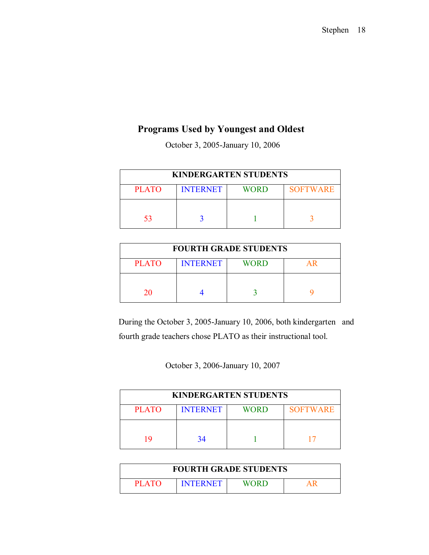# **Programs Used by Youngest and Oldest**

October 3, 2005-January 10, 2006

| <b>KINDERGARTEN STUDENTS</b>                               |  |  |  |  |  |  |
|------------------------------------------------------------|--|--|--|--|--|--|
| <b>SOFTWARE</b><br><b>PLATO</b><br><b>INTERNET</b><br>WORD |  |  |  |  |  |  |
|                                                            |  |  |  |  |  |  |
| 53                                                         |  |  |  |  |  |  |

| <b>FOURTH GRADE STUDENTS</b> |                 |             |    |  |  |
|------------------------------|-----------------|-------------|----|--|--|
| <b>PLATO</b>                 | <b>INTERNET</b> | <b>WORD</b> | ΑR |  |  |
|                              |                 |             |    |  |  |
| 20                           |                 |             |    |  |  |

During the October 3, 2005-January 10, 2006, both kindergarten and fourth grade teachers chose PLATO as their instructional tool.

October 3, 2006-January 10, 2007

| <b>KINDERGARTEN STUDENTS</b> |                 |      |                 |  |  |
|------------------------------|-----------------|------|-----------------|--|--|
| <b>PLATO</b>                 | <b>INTERNET</b> | WORD | <b>SOFTWARE</b> |  |  |
|                              |                 |      |                 |  |  |
| ۱ū                           | 34              |      |                 |  |  |

| <b>FOURTH GRADE STUDENTS</b> |                 |       |  |  |
|------------------------------|-----------------|-------|--|--|
| <b>PLATO</b>                 | <b>INTERNET</b> | WORD. |  |  |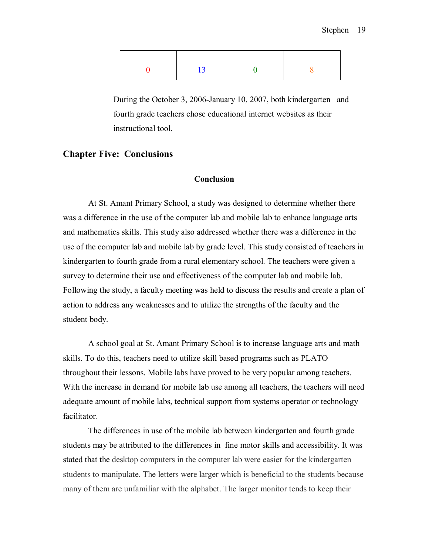| 13 |  |
|----|--|
|    |  |

During the October 3, 2006-January 10, 2007, both kindergarten and fourth grade teachers chose educational internet websites as their instructional tool.

## **Chapter Five: Conclusions**

### **Conclusion**

At St. Amant Primary School, a study was designed to determine whether there was a difference in the use of the computer lab and mobile lab to enhance language arts and mathematics skills. This study also addressed whether there was a difference in the use of the computer lab and mobile lab by grade level. This study consisted of teachers in kindergarten to fourth grade from a rural elementary school. The teachers were given a survey to determine their use and effectiveness of the computer lab and mobile lab. Following the study, a faculty meeting was held to discuss the results and create a plan of action to address any weaknesses and to utilize the strengths of the faculty and the student body.

A school goal at St. Amant Primary School is to increase language arts and math skills. To do this, teachers need to utilize skill based programs such as PLATO throughout their lessons. Mobile labs have proved to be very popular among teachers. With the increase in demand for mobile lab use among all teachers, the teachers will need adequate amount of mobile labs, technical support from systems operator or technology facilitator.

The differences in use of the mobile lab between kindergarten and fourth grade students may be attributed to the differences in fine motor skills and accessibility. It was stated that the desktop computers in the computer lab were easier for the kindergarten students to manipulate. The letters were larger which is beneficial to the students because many of them are unfamiliar with the alphabet. The larger monitor tends to keep their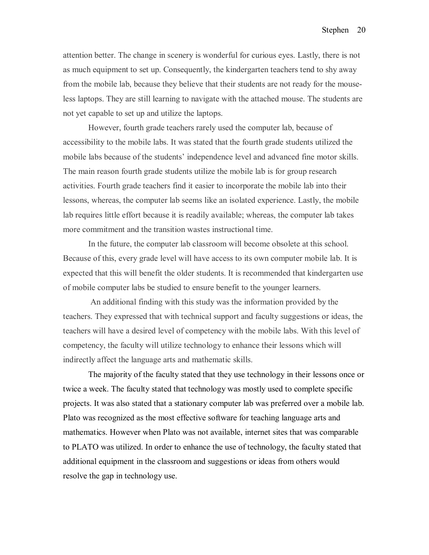attention better. The change in scenery is wonderful for curious eyes. Lastly, there is not as much equipment to set up. Consequently, the kindergarten teachers tend to shy away from the mobile lab, because they believe that their students are not ready for the mouseless laptops. They are still learning to navigate with the attached mouse. The students are not yet capable to set up and utilize the laptops.

However, fourth grade teachers rarely used the computer lab, because of accessibility to the mobile labs. It was stated that the fourth grade students utilized the mobile labs because of the students' independence level and advanced fine motor skills. The main reason fourth grade students utilize the mobile lab is for group research activities. Fourth grade teachers find it easier to incorporate the mobile lab into their lessons, whereas, the computer lab seems like an isolated experience. Lastly, the mobile lab requires little effort because it is readily available; whereas, the computer lab takes more commitment and the transition wastes instructional time.

In the future, the computer lab classroom will become obsolete at this school. Because of this, every grade level will have access to its own computer mobile lab. It is expected that this will benefit the older students. It is recommended that kindergarten use of mobile computer labs be studied to ensure benefit to the younger learners.

 An additional finding with this study was the information provided by the teachers. They expressed that with technical support and faculty suggestions or ideas, the teachers will have a desired level of competency with the mobile labs. With this level of competency, the faculty will utilize technology to enhance their lessons which will indirectly affect the language arts and mathematic skills.

 The majority of the faculty stated that they use technology in their lessons once or twice a week. The faculty stated that technology was mostly used to complete specific projects. It was also stated that a stationary computer lab was preferred over a mobile lab. Plato was recognized as the most effective software for teaching language arts and mathematics. However when Plato was not available, internet sites that was comparable to PLATO was utilized. In order to enhance the use of technology, the faculty stated that additional equipment in the classroom and suggestions or ideas from others would resolve the gap in technology use.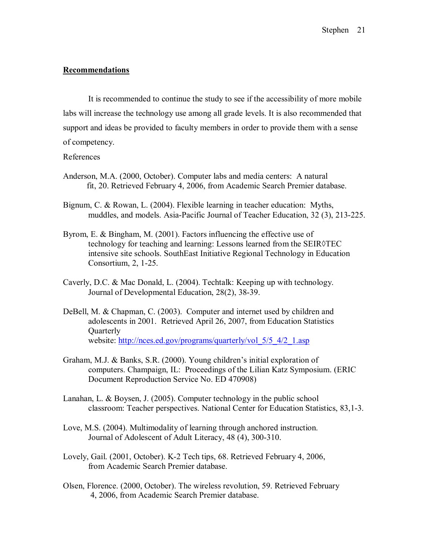### **Recommendations**

 It is recommended to continue the study to see if the accessibility of more mobile labs will increase the technology use among all grade levels. It is also recommended that support and ideas be provided to faculty members in order to provide them with a sense of competency.

### References

- Anderson, M.A. (2000, October). Computer labs and media centers: A natural fit, 20. Retrieved February 4, 2006, from Academic Search Premier database.
- Bignum, C. & Rowan, L. (2004). Flexible learning in teacher education: Myths, muddles, and models. Asia-Pacific Journal of Teacher Education, 32 (3), 213-225.
- Byrom, E. & Bingham, M. (2001). Factors influencing the effective use of technology for teaching and learning: Lessons learned from the SEIR◊TEC intensive site schools. SouthEast Initiative Regional Technology in Education Consortium, 2, 1-25.
- Caverly, D.C. & Mac Donald, L. (2004). Techtalk: Keeping up with technology. Journal of Developmental Education, 28(2), 38-39.
- DeBell, M. & Chapman, C. (2003). Computer and internet used by children and adolescents in 2001. Retrieved April 26, 2007, from Education Statistics **Quarterly** website: http://nces.ed.gov/programs/quarterly/vol\_5/5\_4/2\_1.asp
- Graham, M.J. & Banks, S.R. (2000). Young children's initial exploration of computers. Champaign, IL: Proceedings of the Lilian Katz Symposium. (ERIC Document Reproduction Service No. ED 470908)
- Lanahan, L. & Boysen, J. (2005). Computer technology in the public school classroom: Teacher perspectives. National Center for Education Statistics, 83,1-3.
- Love, M.S. (2004). Multimodality of learning through anchored instruction. Journal of Adolescent of Adult Literacy, 48 (4), 300-310.
- Lovely, Gail. (2001, October). K-2 Tech tips, 68. Retrieved February 4, 2006, from Academic Search Premier database.
- Olsen, Florence. (2000, October). The wireless revolution, 59. Retrieved February 4, 2006, from Academic Search Premier database.